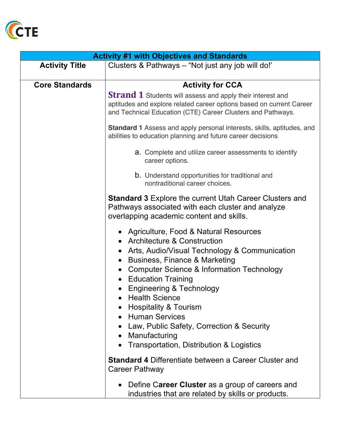

| <b>Activity #1 with Objectives and Standards</b> |                                                                                                                                                                                                                                                                                                                                                                                                                                                                                                                                                                        |
|--------------------------------------------------|------------------------------------------------------------------------------------------------------------------------------------------------------------------------------------------------------------------------------------------------------------------------------------------------------------------------------------------------------------------------------------------------------------------------------------------------------------------------------------------------------------------------------------------------------------------------|
| <b>Activity Title</b>                            | Clusters & Pathways – "Not just any job will do!"                                                                                                                                                                                                                                                                                                                                                                                                                                                                                                                      |
|                                                  |                                                                                                                                                                                                                                                                                                                                                                                                                                                                                                                                                                        |
| <b>Core Standards</b>                            | <b>Activity for CCA</b>                                                                                                                                                                                                                                                                                                                                                                                                                                                                                                                                                |
|                                                  | <b>Strand 1</b> Students will assess and apply their interest and<br>aptitudes and explore related career options based on current Career<br>and Technical Education (CTE) Career Clusters and Pathways.                                                                                                                                                                                                                                                                                                                                                               |
|                                                  | <b>Standard 1</b> Assess and apply personal interests, skills, aptitudes, and<br>abilities to education planning and future career decisions                                                                                                                                                                                                                                                                                                                                                                                                                           |
|                                                  | <b>a.</b> Complete and utilize career assessments to identify<br>career options.                                                                                                                                                                                                                                                                                                                                                                                                                                                                                       |
|                                                  | <b>b.</b> Understand opportunities for traditional and<br>nontraditional career choices.                                                                                                                                                                                                                                                                                                                                                                                                                                                                               |
|                                                  | <b>Standard 3 Explore the current Utah Career Clusters and</b><br>Pathways associated with each cluster and analyze<br>overlapping academic content and skills.                                                                                                                                                                                                                                                                                                                                                                                                        |
|                                                  | Agriculture, Food & Natural Resources<br><b>Architecture &amp; Construction</b><br>Arts, Audio/Visual Technology & Communication<br>Business, Finance & Marketing<br>Computer Science & Information Technology<br><b>Education Training</b><br><b>Engineering &amp; Technology</b><br><b>Health Science</b><br><b>Hospitality &amp; Tourism</b><br><b>Human Services</b><br>Law, Public Safety, Correction & Security<br>• Manufacturing<br>Transportation, Distribution & Logistics<br><b>Standard 4 Differentiate between a Career Cluster and</b><br>Career Pathway |
|                                                  | Define Career Cluster as a group of careers and<br>industries that are related by skills or products.                                                                                                                                                                                                                                                                                                                                                                                                                                                                  |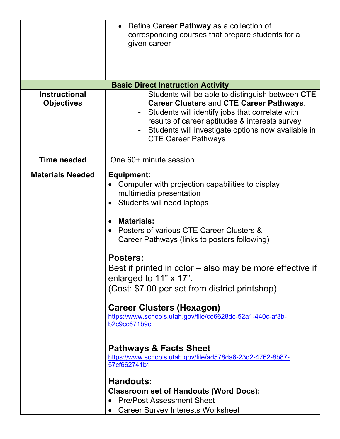|                                           | Define Career Pathway as a collection of<br>corresponding courses that prepare students for a<br>given career                                                                                                                                                                                                                                                                                                                                                                                                                                                                                                                                                                                                                                                                                         |
|-------------------------------------------|-------------------------------------------------------------------------------------------------------------------------------------------------------------------------------------------------------------------------------------------------------------------------------------------------------------------------------------------------------------------------------------------------------------------------------------------------------------------------------------------------------------------------------------------------------------------------------------------------------------------------------------------------------------------------------------------------------------------------------------------------------------------------------------------------------|
|                                           | <b>Basic Direct Instruction Activity</b>                                                                                                                                                                                                                                                                                                                                                                                                                                                                                                                                                                                                                                                                                                                                                              |
| <b>Instructional</b><br><b>Objectives</b> | Students will be able to distinguish between CTE<br><b>Career Clusters and CTE Career Pathways.</b><br>Students will identify jobs that correlate with<br>results of career aptitudes & interests survey<br>Students will investigate options now available in<br><b>CTE Career Pathways</b>                                                                                                                                                                                                                                                                                                                                                                                                                                                                                                          |
| <b>Time needed</b>                        | One 60+ minute session                                                                                                                                                                                                                                                                                                                                                                                                                                                                                                                                                                                                                                                                                                                                                                                |
| <b>Materials Needed</b>                   | Equipment:<br>Computer with projection capabilities to display<br>multimedia presentation<br>Students will need laptops<br><b>Materials:</b><br>Posters of various CTE Career Clusters &<br>Career Pathways (links to posters following)<br><b>Posters:</b><br>Best if printed in color – also may be more effective if<br>enlarged to $11" \times 17"$ .<br>(Cost: \$7.00 per set from district printshop)<br><b>Career Clusters (Hexagon)</b><br>https://www.schools.utah.gov/file/ce6628dc-52a1-440c-af3b-<br>b2c9cc671b9c<br><b>Pathways &amp; Facts Sheet</b><br>https://www.schools.utah.gov/file/ad578da6-23d2-4762-8b87-<br>57cf662741b1<br><b>Handouts:</b><br><b>Classroom set of Handouts (Word Docs):</b><br><b>Pre/Post Assessment Sheet</b><br><b>Career Survey Interests Worksheet</b> |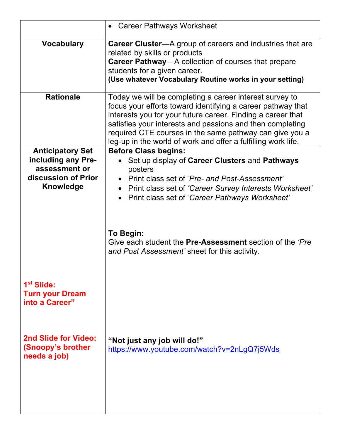|                                                                                                           | • Career Pathways Worksheet                                                                                                                                                                                                                                                                                                                                                    |
|-----------------------------------------------------------------------------------------------------------|--------------------------------------------------------------------------------------------------------------------------------------------------------------------------------------------------------------------------------------------------------------------------------------------------------------------------------------------------------------------------------|
| <b>Vocabulary</b>                                                                                         | <b>Career Cluster—A</b> group of careers and industries that are<br>related by skills or products<br><b>Career Pathway—A</b> collection of courses that prepare<br>students for a given career.<br>(Use whatever Vocabulary Routine works in your setting)                                                                                                                     |
| <b>Rationale</b>                                                                                          | Today we will be completing a career interest survey to<br>focus your efforts toward identifying a career pathway that<br>interests you for your future career. Finding a career that<br>satisfies your interests and passions and then completing<br>required CTE courses in the same pathway can give you a<br>leg-up in the world of work and offer a fulfilling work life. |
| <b>Anticipatory Set</b><br>including any Pre-<br>assessment or<br>discussion of Prior<br><b>Knowledge</b> | <b>Before Class begins:</b><br>Set up display of Career Clusters and Pathways<br>posters<br>• Print class set of 'Pre- and Post-Assessment'<br>• Print class set of 'Career Survey Interests Worksheet'<br>Print class set of 'Career Pathways Worksheet'<br>To Begin:<br>Give each student the Pre-Assessment section of the 'Pre                                             |
| 1 <sup>st</sup> Slide:<br><b>Turn your Dream</b><br>into a Career"                                        | and Post Assessment' sheet for this activity.                                                                                                                                                                                                                                                                                                                                  |
| 2nd Slide for Video:<br>(Snoopy's brother<br>needs a job)                                                 | "Not just any job will do!"<br>https://www.youtube.com/watch?v=2nLgQ7j5Wds                                                                                                                                                                                                                                                                                                     |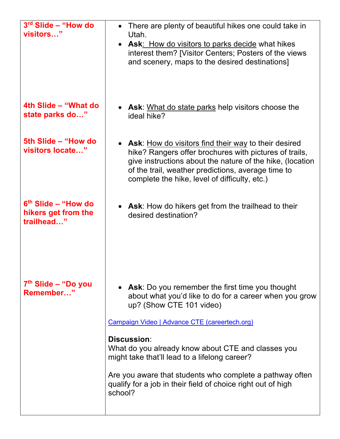| $3rd$ Slide – "How do<br>visitors"                          | There are plenty of beautiful hikes one could take in<br>Utah.<br>• Ask: How do visitors to parks decide what hikes<br>interest them? [Visitor Centers; Posters of the views<br>and scenery, maps to the desired destinations]                                                                                                                                                                                                                        |
|-------------------------------------------------------------|-------------------------------------------------------------------------------------------------------------------------------------------------------------------------------------------------------------------------------------------------------------------------------------------------------------------------------------------------------------------------------------------------------------------------------------------------------|
| 4th Slide – "What do<br>state parks do"                     | <b>Ask:</b> What do state parks help visitors choose the<br>ideal hike?                                                                                                                                                                                                                                                                                                                                                                               |
| 5th Slide - "How do<br>visitors locate"                     | • Ask: How do visitors find their way to their desired<br>hike? Rangers offer brochures with pictures of trails,<br>give instructions about the nature of the hike, (location<br>of the trail, weather predictions, average time to<br>complete the hike, level of difficulty, etc.)                                                                                                                                                                  |
| $6th$ Slide – "How do"<br>hikers get from the<br>trailhead" | • Ask: How do hikers get from the trailhead to their<br>desired destination?                                                                                                                                                                                                                                                                                                                                                                          |
| 7 <sup>th</sup> Slide – "Do you<br>Remember"                | • Ask: Do you remember the first time you thought<br>about what you'd like to do for a career when you grow<br>up? (Show CTE 101 video)<br>Campaign Video   Advance CTE (careertech.org)<br>Discussion:<br>What do you already know about CTE and classes you<br>might take that'll lead to a lifelong career?<br>Are you aware that students who complete a pathway often<br>qualify for a job in their field of choice right out of high<br>school? |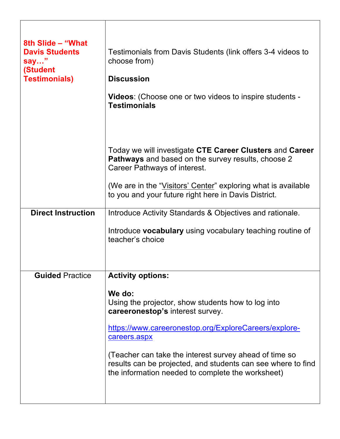| 8th Slide - "What<br><b>Davis Students</b><br>say"<br>(Student<br><b>Testimonials)</b> | Testimonials from Davis Students (link offers 3-4 videos to<br>choose from)<br><b>Discussion</b><br><b>Videos:</b> (Choose one or two videos to inspire students -<br><b>Testimonials</b>                                                                                                                                                                |
|----------------------------------------------------------------------------------------|----------------------------------------------------------------------------------------------------------------------------------------------------------------------------------------------------------------------------------------------------------------------------------------------------------------------------------------------------------|
|                                                                                        | Today we will investigate CTE Career Clusters and Career<br><b>Pathways</b> and based on the survey results, choose 2<br>Career Pathways of interest.                                                                                                                                                                                                    |
|                                                                                        | (We are in the "Visitors' Center" exploring what is available<br>to you and your future right here in Davis District.                                                                                                                                                                                                                                    |
| <b>Direct Instruction</b>                                                              | Introduce Activity Standards & Objectives and rationale.                                                                                                                                                                                                                                                                                                 |
|                                                                                        | Introduce vocabulary using vocabulary teaching routine of<br>teacher's choice                                                                                                                                                                                                                                                                            |
| <b>Guided Practice</b>                                                                 | <b>Activity options:</b>                                                                                                                                                                                                                                                                                                                                 |
|                                                                                        | We do:<br>Using the projector, show students how to log into<br>careeronestop's interest survey.<br>https://www.careeronestop.org/ExploreCareers/explore-<br>careers.aspx<br>(Teacher can take the interest survey ahead of time so<br>results can be projected, and students can see where to find<br>the information needed to complete the worksheet) |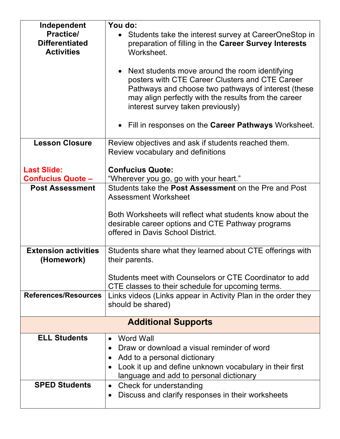| Independent                 | You do:                                                              |
|-----------------------------|----------------------------------------------------------------------|
| <b>Practice/</b>            | Students take the interest survey at CareerOneStop in                |
| <b>Differentiated</b>       | preparation of filling in the Career Survey Interests                |
| <b>Activities</b>           | Worksheet.                                                           |
|                             |                                                                      |
|                             | • Next students move around the room identifying                     |
|                             | posters with CTE Career Clusters and CTE Career                      |
|                             | Pathways and choose two pathways of interest (these                  |
|                             | may align perfectly with the results from the career                 |
|                             | interest survey taken previously)                                    |
|                             |                                                                      |
|                             | • Fill in responses on the Career Pathways Worksheet.                |
| <b>Lesson Closure</b>       | Review objectives and ask if students reached them.                  |
|                             | Review vocabulary and definitions                                    |
|                             |                                                                      |
| <b>Last Slide:</b>          | <b>Confucius Quote:</b>                                              |
| <b>Confucius Quote -</b>    | "Wherever you go, go with your heart."                               |
| <b>Post Assessment</b>      | Students take the Post Assessment on the Pre and Post                |
|                             | <b>Assessment Worksheet</b>                                          |
|                             |                                                                      |
|                             | Both Worksheets will reflect what students know about the            |
|                             | desirable career options and CTE Pathway programs                    |
|                             | offered in Davis School District.                                    |
|                             |                                                                      |
| <b>Extension activities</b> | Students share what they learned about CTE offerings with            |
| (Homework)                  | their parents.                                                       |
|                             | Students meet with Counselors or CTE Coordinator to add              |
|                             | CTE classes to their schedule for upcoming terms.                    |
| References/Resources        | Links videos (Links appear in Activity Plan in the order they        |
|                             | should be shared)                                                    |
|                             |                                                                      |
|                             | <b>Additional Supports</b>                                           |
| <b>ELL Students</b>         | Word Wall<br>$\bullet$                                               |
|                             | Draw or download a visual reminder of word                           |
|                             | Add to a personal dictionary<br>$\bullet$                            |
|                             | Look it up and define unknown vocabulary in their first<br>$\bullet$ |
|                             | language and add to personal dictionary                              |
| <b>SPED Students</b>        | Check for understanding<br>$\bullet$                                 |
|                             | Discuss and clarify responses in their worksheets<br>$\bullet$       |
|                             |                                                                      |